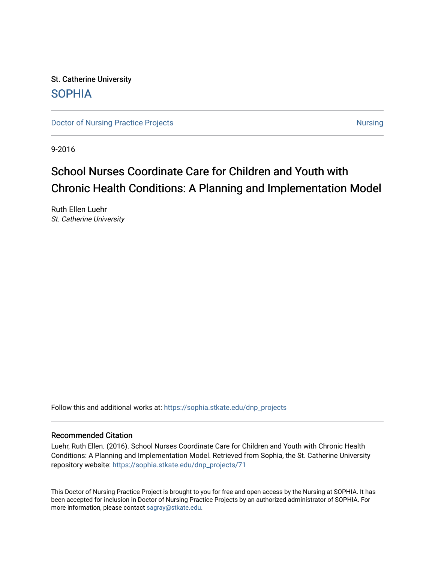St. Catherine University [SOPHIA](https://sophia.stkate.edu/) 

[Doctor of Nursing Practice Projects](https://sophia.stkate.edu/dnp_projects) [Nursing](https://sophia.stkate.edu/nursing) Nursing Nursing

9-2016

# School Nurses Coordinate Care for Children and Youth with Chronic Health Conditions: A Planning and Implementation Model

Ruth Ellen Luehr St. Catherine University

Follow this and additional works at: [https://sophia.stkate.edu/dnp\\_projects](https://sophia.stkate.edu/dnp_projects?utm_source=sophia.stkate.edu%2Fdnp_projects%2F71&utm_medium=PDF&utm_campaign=PDFCoverPages) 

#### Recommended Citation

Luehr, Ruth Ellen. (2016). School Nurses Coordinate Care for Children and Youth with Chronic Health Conditions: A Planning and Implementation Model. Retrieved from Sophia, the St. Catherine University repository website: [https://sophia.stkate.edu/dnp\\_projects/71](https://sophia.stkate.edu/dnp_projects/71?utm_source=sophia.stkate.edu%2Fdnp_projects%2F71&utm_medium=PDF&utm_campaign=PDFCoverPages) 

This Doctor of Nursing Practice Project is brought to you for free and open access by the Nursing at SOPHIA. It has been accepted for inclusion in Doctor of Nursing Practice Projects by an authorized administrator of SOPHIA. For more information, please contact [sagray@stkate.edu](mailto:sagray@stkate.edu).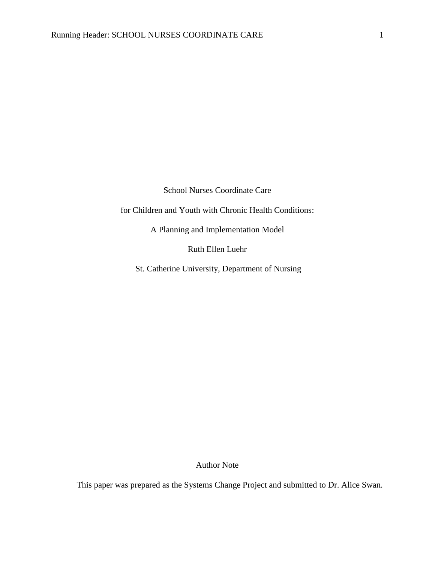School Nurses Coordinate Care

for Children and Youth with Chronic Health Conditions:

A Planning and Implementation Model

Ruth Ellen Luehr

St. Catherine University, Department of Nursing

Author Note

This paper was prepared as the Systems Change Project and submitted to Dr. Alice Swan.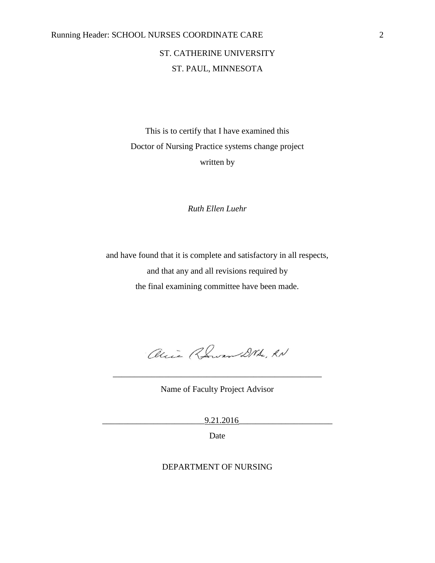## Running Header: SCHOOL NURSES COORDINATE CARE 2

## ST. CATHERINE UNIVERSITY ST. PAUL, MINNESOTA

This is to certify that I have examined this Doctor of Nursing Practice systems change project written by

*Ruth Ellen Luehr*

and have found that it is complete and satisfactory in all respects, and that any and all revisions required by the final examining committee have been made.

alice Rowan DNA, RN

Name of Faculty Project Advisor

\_\_\_\_\_\_\_\_\_\_\_\_\_\_\_\_\_\_\_\_\_\_\_\_\_\_\_\_\_\_\_\_\_\_\_\_\_\_\_\_\_\_\_\_\_\_\_\_\_

\_\_\_\_\_\_\_\_\_\_\_\_\_\_\_\_\_\_\_\_\_\_\_\_9.21.2016\_\_\_\_\_\_\_\_\_\_\_\_\_\_\_\_\_\_\_\_\_\_

Date

### DEPARTMENT OF NURSING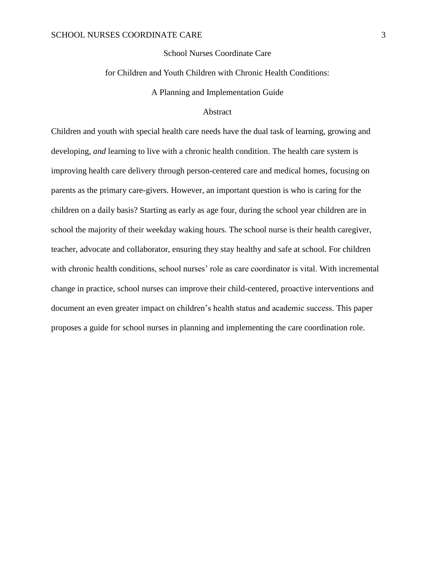#### School Nurses Coordinate Care

#### for Children and Youth Children with Chronic Health Conditions:

A Planning and Implementation Guide

#### Abstract

Children and youth with special health care needs have the dual task of learning, growing and developing, *and* learning to live with a chronic health condition. The health care system is improving health care delivery through person-centered care and medical homes, focusing on parents as the primary care-givers. However, an important question is who is caring for the children on a daily basis? Starting as early as age four, during the school year children are in school the majority of their weekday waking hours. The school nurse is their health caregiver, teacher, advocate and collaborator, ensuring they stay healthy and safe at school. For children with chronic health conditions, school nurses' role as care coordinator is vital. With incremental change in practice, school nurses can improve their child-centered, proactive interventions and document an even greater impact on children's health status and academic success. This paper proposes a guide for school nurses in planning and implementing the care coordination role.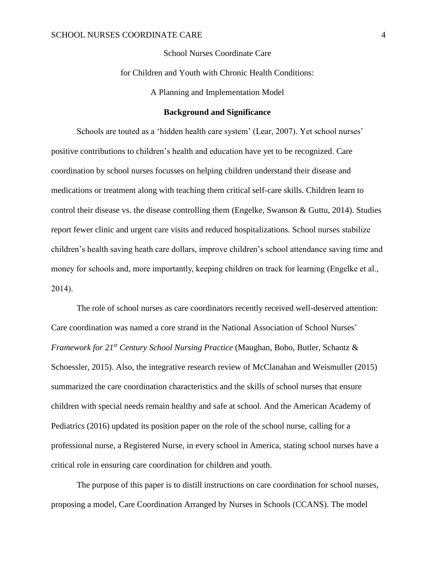#### School Nurses Coordinate Care

for Children and Youth with Chronic Health Conditions:

A Planning and Implementation Model

#### **Background and Significance**

Schools are touted as a 'hidden health care system' (Lear, 2007). Yet school nurses' positive contributions to children's health and education have yet to be recognized. Care coordination by school nurses focusses on helping children understand their disease and medications or treatment along with teaching them critical self-care skills. Children learn to control their disease vs. the disease controlling them (Engelke, Swanson & Guttu, 2014). Studies report fewer clinic and urgent care visits and reduced hospitalizations. School nurses stabilize children's health saving heath care dollars, improve children's school attendance saving time and money for schools and, more importantly, keeping children on track for learning (Engelke et al., 2014).

The role of school nurses as care coordinators recently received well-deserved attention: Care coordination was named a core strand in the National Association of School Nurses' *Framework for 21st Century School Nursing Practice* (Maughan, Bobo, Butler, Schantz & Schoessler, 2015). Also, the integrative research review of McClanahan and Weismuller (2015) summarized the care coordination characteristics and the skills of school nurses that ensure children with special needs remain healthy and safe at school. And the American Academy of Pediatrics (2016) updated its position paper on the role of the school nurse, calling for a professional nurse, a Registered Nurse, in every school in America, stating school nurses have a critical role in ensuring care coordination for children and youth.

The purpose of this paper is to distill instructions on care coordination for school nurses, proposing a model, Care Coordination Arranged by Nurses in Schools (CCANS). The model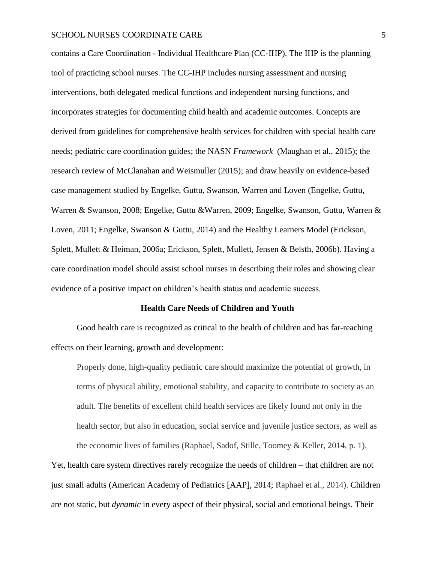contains a Care Coordination - Individual Healthcare Plan (CC-IHP). The IHP is the planning tool of practicing school nurses. The CC-IHP includes nursing assessment and nursing interventions, both delegated medical functions and independent nursing functions, and incorporates strategies for documenting child health and academic outcomes. Concepts are derived from guidelines for comprehensive health services for children with special health care needs; pediatric care coordination guides; the NASN *Framework* (Maughan et al., 2015); the research review of McClanahan and Weismuller (2015); and draw heavily on evidence-based case management studied by Engelke, Guttu, Swanson, Warren and Loven (Engelke, Guttu, Warren & Swanson, 2008; Engelke, Guttu &Warren, 2009; Engelke, Swanson, Guttu, Warren & Loven, 2011; Engelke, Swanson & Guttu, 2014) and the Healthy Learners Model (Erickson, Splett, Mullett & Heiman, 2006a; Erickson, Splett, Mullett, Jensen & Belsth, 2006b). Having a care coordination model should assist school nurses in describing their roles and showing clear evidence of a positive impact on children's health status and academic success.

#### **Health Care Needs of Children and Youth**

Good health care is recognized as critical to the health of children and has far-reaching effects on their learning, growth and development:

Properly done, high-quality pediatric care should maximize the potential of growth, in terms of physical ability, emotional stability, and capacity to contribute to society as an adult. The benefits of excellent child health services are likely found not only in the health sector, but also in education, social service and juvenile justice sectors, as well as the economic lives of families (Raphael, Sadof, Stille, Toomey & Keller, 2014, p. 1).

Yet, health care system directives rarely recognize the needs of children – that children are not just small adults (American Academy of Pediatrics [AAP], 2014; Raphael et al., 2014). Children are not static, but *dynamic* in every aspect of their physical, social and emotional beings. Their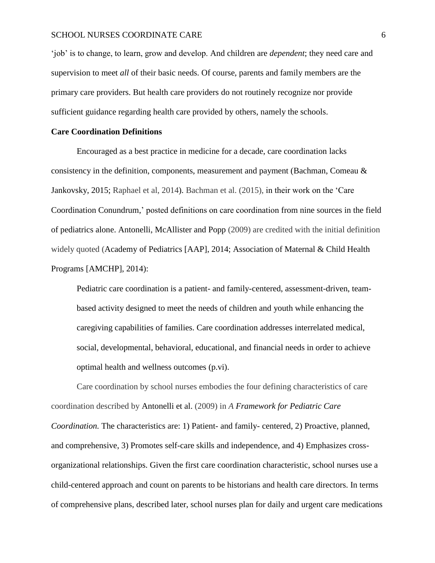'job' is to change, to learn, grow and develop. And children are *dependent*; they need care and supervision to meet *all* of their basic needs. Of course, parents and family members are the primary care providers. But health care providers do not routinely recognize nor provide sufficient guidance regarding health care provided by others, namely the schools.

#### **Care Coordination Definitions**

Encouraged as a best practice in medicine for a decade, care coordination lacks consistency in the definition, components, measurement and payment (Bachman, Comeau & Jankovsky, 2015; Raphael et al, 2014). Bachman et al. (2015), in their work on the 'Care Coordination Conundrum,' posted definitions on care coordination from nine sources in the field of pediatrics alone. Antonelli, McAllister and Popp (2009) are credited with the initial definition widely quoted (Academy of Pediatrics [AAP], 2014; Association of Maternal & Child Health Programs [AMCHP], 2014):

Pediatric care coordination is a patient- and family-centered, assessment-driven, teambased activity designed to meet the needs of children and youth while enhancing the caregiving capabilities of families. Care coordination addresses interrelated medical, social, developmental, behavioral, educational, and financial needs in order to achieve optimal health and wellness outcomes (p.vi).

Care coordination by school nurses embodies the four defining characteristics of care coordination described by Antonelli et al. (2009) in *A Framework for Pediatric Care Coordination.* The characteristics are: 1) Patient- and family- centered, 2) Proactive, planned, and comprehensive, 3) Promotes self-care skills and independence, and 4) Emphasizes crossorganizational relationships. Given the first care coordination characteristic, school nurses use a child-centered approach and count on parents to be historians and health care directors. In terms of comprehensive plans, described later, school nurses plan for daily and urgent care medications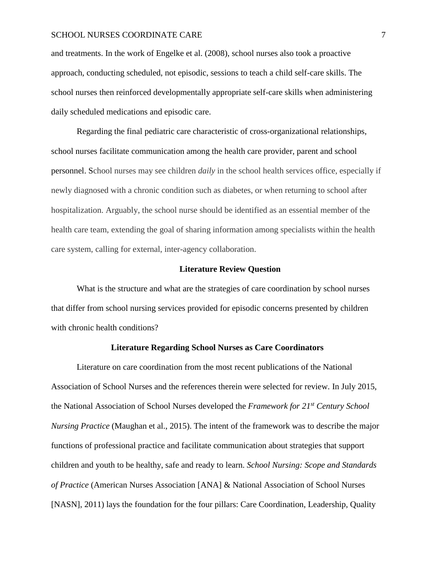and treatments. In the work of Engelke et al. (2008), school nurses also took a proactive approach, conducting scheduled, not episodic, sessions to teach a child self-care skills. The school nurses then reinforced developmentally appropriate self-care skills when administering daily scheduled medications and episodic care.

Regarding the final pediatric care characteristic of cross-organizational relationships, school nurses facilitate communication among the health care provider, parent and school personnel. School nurses may see children *daily* in the school health services office, especially if newly diagnosed with a chronic condition such as diabetes, or when returning to school after hospitalization. Arguably, the school nurse should be identified as an essential member of the health care team, extending the goal of sharing information among specialists within the health care system, calling for external, inter-agency collaboration.

#### **Literature Review Question**

What is the structure and what are the strategies of care coordination by school nurses that differ from school nursing services provided for episodic concerns presented by children with chronic health conditions?

#### **Literature Regarding School Nurses as Care Coordinators**

Literature on care coordination from the most recent publications of the National Association of School Nurses and the references therein were selected for review. In July 2015, the National Association of School Nurses developed the *Framework for 21st Century School Nursing Practice* (Maughan et al., 2015). The intent of the framework was to describe the major functions of professional practice and facilitate communication about strategies that support children and youth to be healthy, safe and ready to learn. *School Nursing: Scope and Standards of Practice* (American Nurses Association [ANA] & National Association of School Nurses [NASN], 2011) lays the foundation for the four pillars: Care Coordination, Leadership, Quality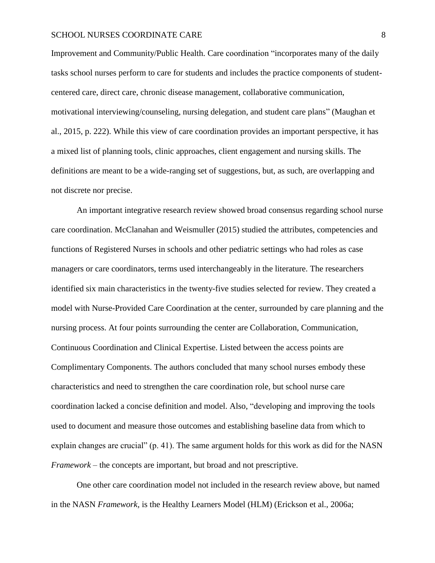Improvement and Community/Public Health. Care coordination "incorporates many of the daily tasks school nurses perform to care for students and includes the practice components of studentcentered care, direct care, chronic disease management, collaborative communication, motivational interviewing/counseling, nursing delegation, and student care plans" (Maughan et al., 2015, p. 222). While this view of care coordination provides an important perspective, it has a mixed list of planning tools, clinic approaches, client engagement and nursing skills. The definitions are meant to be a wide-ranging set of suggestions, but, as such, are overlapping and not discrete nor precise.

An important integrative research review showed broad consensus regarding school nurse care coordination. McClanahan and Weismuller (2015) studied the attributes, competencies and functions of Registered Nurses in schools and other pediatric settings who had roles as case managers or care coordinators, terms used interchangeably in the literature. The researchers identified six main characteristics in the twenty-five studies selected for review. They created a model with Nurse-Provided Care Coordination at the center, surrounded by care planning and the nursing process. At four points surrounding the center are Collaboration, Communication, Continuous Coordination and Clinical Expertise. Listed between the access points are Complimentary Components. The authors concluded that many school nurses embody these characteristics and need to strengthen the care coordination role, but school nurse care coordination lacked a concise definition and model. Also, "developing and improving the tools used to document and measure those outcomes and establishing baseline data from which to explain changes are crucial" (p. 41). The same argument holds for this work as did for the NASN *Framework* – the concepts are important, but broad and not prescriptive.

One other care coordination model not included in the research review above, but named in the NASN *Framework,* is the Healthy Learners Model (HLM) (Erickson et al., 2006a;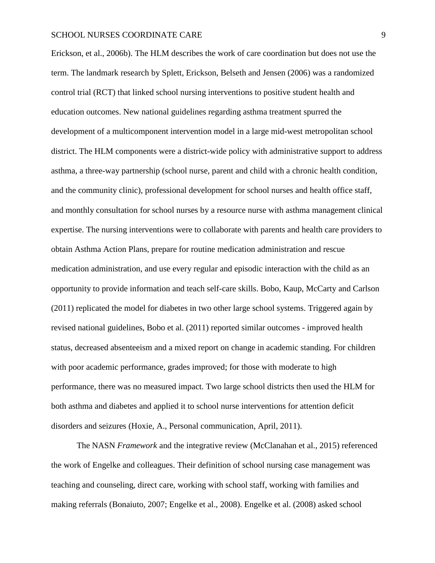Erickson, et al., 2006b). The HLM describes the work of care coordination but does not use the term. The landmark research by Splett, Erickson, Belseth and Jensen (2006) was a randomized control trial (RCT) that linked school nursing interventions to positive student health and education outcomes. New national guidelines regarding asthma treatment spurred the development of a multicomponent intervention model in a large mid-west metropolitan school district. The HLM components were a district-wide policy with administrative support to address asthma, a three-way partnership (school nurse, parent and child with a chronic health condition, and the community clinic), professional development for school nurses and health office staff, and monthly consultation for school nurses by a resource nurse with asthma management clinical expertise. The nursing interventions were to collaborate with parents and health care providers to obtain Asthma Action Plans, prepare for routine medication administration and rescue medication administration, and use every regular and episodic interaction with the child as an opportunity to provide information and teach self-care skills. Bobo, Kaup, McCarty and Carlson (2011) replicated the model for diabetes in two other large school systems. Triggered again by revised national guidelines, Bobo et al. (2011) reported similar outcomes - improved health status, decreased absenteeism and a mixed report on change in academic standing. For children with poor academic performance, grades improved; for those with moderate to high performance, there was no measured impact. Two large school districts then used the HLM for both asthma and diabetes and applied it to school nurse interventions for attention deficit disorders and seizures (Hoxie, A., Personal communication, April, 2011).

The NASN *Framework* and the integrative review (McClanahan et al., 2015) referenced the work of Engelke and colleagues. Their definition of school nursing case management was teaching and counseling, direct care, working with school staff, working with families and making referrals (Bonaiuto, 2007; Engelke et al., 2008). Engelke et al. (2008) asked school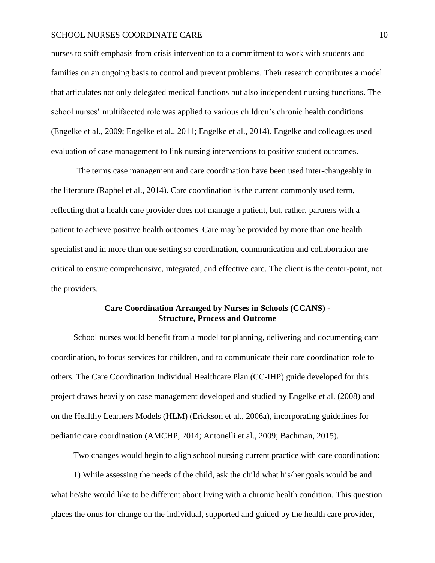nurses to shift emphasis from crisis intervention to a commitment to work with students and families on an ongoing basis to control and prevent problems. Their research contributes a model that articulates not only delegated medical functions but also independent nursing functions. The school nurses' multifaceted role was applied to various children's chronic health conditions (Engelke et al., 2009; Engelke et al., 2011; Engelke et al., 2014). Engelke and colleagues used evaluation of case management to link nursing interventions to positive student outcomes.

The terms case management and care coordination have been used inter-changeably in the literature (Raphel et al., 2014). Care coordination is the current commonly used term, reflecting that a health care provider does not manage a patient, but, rather, partners with a patient to achieve positive health outcomes. Care may be provided by more than one health specialist and in more than one setting so coordination, communication and collaboration are critical to ensure comprehensive, integrated, and effective care. The client is the center-point, not the providers.

#### **Care Coordination Arranged by Nurses in Schools (CCANS) - Structure, Process and Outcome**

School nurses would benefit from a model for planning, delivering and documenting care coordination, to focus services for children, and to communicate their care coordination role to others. The Care Coordination Individual Healthcare Plan (CC-IHP) guide developed for this project draws heavily on case management developed and studied by Engelke et al. (2008) and on the Healthy Learners Models (HLM) (Erickson et al., 2006a), incorporating guidelines for pediatric care coordination (AMCHP, 2014; Antonelli et al., 2009; Bachman, 2015).

Two changes would begin to align school nursing current practice with care coordination:

1) While assessing the needs of the child, ask the child what his/her goals would be and what he/she would like to be different about living with a chronic health condition. This question places the onus for change on the individual, supported and guided by the health care provider,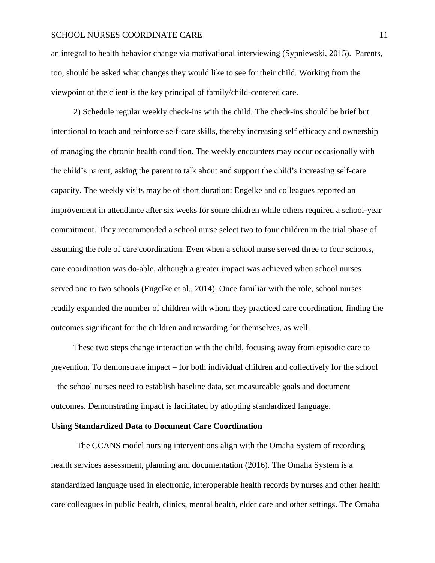an integral to health behavior change via motivational interviewing (Sypniewski, 2015). Parents, too, should be asked what changes they would like to see for their child. Working from the viewpoint of the client is the key principal of family/child-centered care.

2) Schedule regular weekly check-ins with the child. The check-ins should be brief but intentional to teach and reinforce self-care skills, thereby increasing self efficacy and ownership of managing the chronic health condition. The weekly encounters may occur occasionally with the child's parent, asking the parent to talk about and support the child's increasing self-care capacity. The weekly visits may be of short duration: Engelke and colleagues reported an improvement in attendance after six weeks for some children while others required a school-year commitment. They recommended a school nurse select two to four children in the trial phase of assuming the role of care coordination. Even when a school nurse served three to four schools, care coordination was do-able, although a greater impact was achieved when school nurses served one to two schools (Engelke et al., 2014). Once familiar with the role, school nurses readily expanded the number of children with whom they practiced care coordination, finding the outcomes significant for the children and rewarding for themselves, as well.

These two steps change interaction with the child, focusing away from episodic care to prevention. To demonstrate impact – for both individual children and collectively for the school – the school nurses need to establish baseline data, set measureable goals and document outcomes. Demonstrating impact is facilitated by adopting standardized language.

#### **Using Standardized Data to Document Care Coordination**

The CCANS model nursing interventions align with the Omaha System of recording health services assessment, planning and documentation (2016)*.* The Omaha System is a standardized language used in electronic, interoperable health records by nurses and other health care colleagues in public health, clinics, mental health, elder care and other settings. The Omaha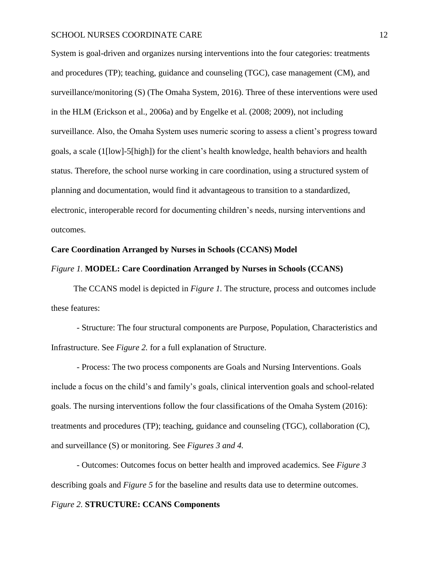System is goal-driven and organizes nursing interventions into the four categories: treatments and procedures (TP); teaching, guidance and counseling (TGC), case management (CM), and surveillance/monitoring (S) (The Omaha System, 2016). Three of these interventions were used in the HLM (Erickson et al., 2006a) and by Engelke et al. (2008; 2009), not including surveillance. Also, the Omaha System uses numeric scoring to assess a client's progress toward goals, a scale (1[low]-5[high]) for the client's health knowledge, health behaviors and health status. Therefore, the school nurse working in care coordination, using a structured system of planning and documentation, would find it advantageous to transition to a standardized, electronic, interoperable record for documenting children's needs, nursing interventions and outcomes.

#### **Care Coordination Arranged by Nurses in Schools (CCANS) Model**

#### *Figure 1.* **MODEL: Care Coordination Arranged by Nurses in Schools (CCANS)**

The CCANS model is depicted in *Figure 1.* The structure, process and outcomes include these features:

- Structure: The four structural components are Purpose, Population, Characteristics and Infrastructure. See *Figure 2.* for a full explanation of Structure.

- Process: The two process components are Goals and Nursing Interventions. Goals include a focus on the child's and family's goals, clinical intervention goals and school-related goals. The nursing interventions follow the four classifications of the Omaha System (2016): treatments and procedures (TP); teaching, guidance and counseling (TGC), collaboration (C), and surveillance (S) or monitoring. See *Figures 3 and 4.*

- Outcomes: Outcomes focus on better health and improved academics. See *Figure 3* describing goals and *Figure 5* for the baseline and results data use to determine outcomes.

#### *Figure 2.* **STRUCTURE: CCANS Components**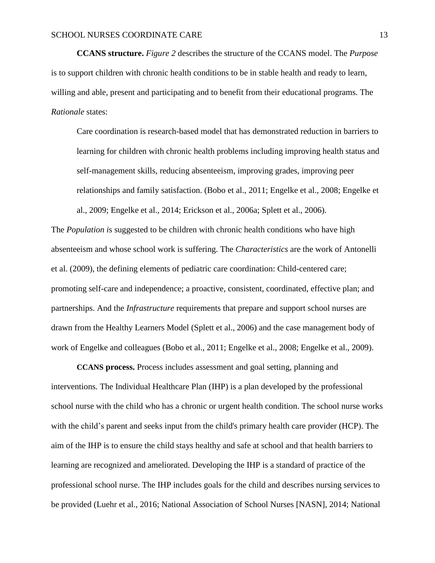**CCANS structure.** *Figure 2* describes the structure of the CCANS model. The *Purpose* is to support children with chronic health conditions to be in stable health and ready to learn, willing and able, present and participating and to benefit from their educational programs. The *Rationale* states:

Care coordination is research-based model that has demonstrated reduction in barriers to learning for children with chronic health problems including improving health status and self-management skills, reducing absenteeism, improving grades, improving peer relationships and family satisfaction. (Bobo et al., 2011; Engelke et al., 2008; Engelke et al., 2009; Engelke et al., 2014; Erickson et al., 2006a; Splett et al., 2006).

The *Population i*s suggested to be children with chronic health conditions who have high absenteeism and whose school work is suffering. The *Characteristics* are the work of Antonelli et al. (2009), the defining elements of pediatric care coordination: Child-centered care; promoting self-care and independence; a proactive, consistent, coordinated, effective plan; and partnerships. And the *Infrastructure* requirements that prepare and support school nurses are drawn from the Healthy Learners Model (Splett et al., 2006) and the case management body of work of Engelke and colleagues (Bobo et al., 2011; Engelke et al., 2008; Engelke et al., 2009).

**CCANS process.** Process includes assessment and goal setting, planning and interventions. The Individual Healthcare Plan (IHP) is a plan developed by the professional school nurse with the child who has a chronic or urgent health condition. The school nurse works with the child's parent and seeks input from the child's primary health care provider (HCP). The aim of the IHP is to ensure the child stays healthy and safe at school and that health barriers to learning are recognized and ameliorated. Developing the IHP is a standard of practice of the professional school nurse. The IHP includes goals for the child and describes nursing services to be provided (Luehr et al., 2016; National Association of School Nurses [NASN], 2014; National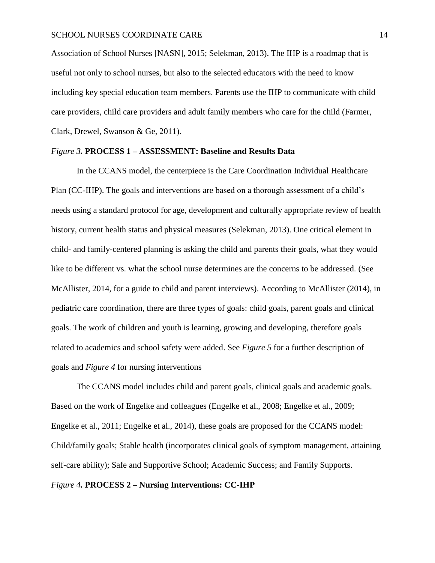Association of School Nurses [NASN], 2015; Selekman, 2013). The IHP is a roadmap that is useful not only to school nurses, but also to the selected educators with the need to know including key special education team members. Parents use the IHP to communicate with child care providers, child care providers and adult family members who care for the child (Farmer, Clark, Drewel, Swanson & Ge, 2011).

#### *Figure 3.* **PROCESS 1 – ASSESSMENT: Baseline and Results Data**

In the CCANS model, the centerpiece is the Care Coordination Individual Healthcare Plan (CC-IHP). The goals and interventions are based on a thorough assessment of a child's needs using a standard protocol for age, development and culturally appropriate review of health history, current health status and physical measures (Selekman, 2013). One critical element in child- and family-centered planning is asking the child and parents their goals, what they would like to be different vs. what the school nurse determines are the concerns to be addressed. (See McAllister, 2014, for a guide to child and parent interviews). According to McAllister (2014), in pediatric care coordination, there are three types of goals: child goals, parent goals and clinical goals. The work of children and youth is learning, growing and developing, therefore goals related to academics and school safety were added. See *Figure 5* for a further description of goals and *Figure 4* for nursing interventions

The CCANS model includes child and parent goals, clinical goals and academic goals. Based on the work of Engelke and colleagues (Engelke et al., 2008; Engelke et al., 2009; Engelke et al., 2011; Engelke et al., 2014), these goals are proposed for the CCANS model: Child/family goals; Stable health (incorporates clinical goals of symptom management, attaining self-care ability); Safe and Supportive School; Academic Success; and Family Supports.

#### *Figure 4.* **PROCESS 2 – Nursing Interventions: CC-IHP**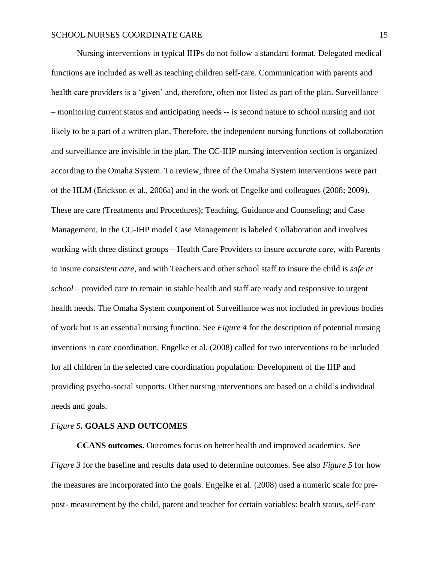Nursing interventions in typical IHPs do not follow a standard format. Delegated medical functions are included as well as teaching children self-care. Communication with parents and health care providers is a 'given' and, therefore, often not listed as part of the plan. Surveillance – monitoring current status and anticipating needs -- is second nature to school nursing and not likely to be a part of a written plan. Therefore, the independent nursing functions of collaboration and surveillance are invisible in the plan. The CC-IHP nursing intervention section is organized according to the Omaha System. To review, three of the Omaha System interventions were part of the HLM (Erickson et al., 2006a) and in the work of Engelke and colleagues (2008; 2009). These are care (Treatments and Procedures); Teaching, Guidance and Counseling; and Case Management. In the CC-IHP model Case Management is labeled Collaboration and involves working with three distinct groups – Health Care Providers to insure *accurate care*, with Parents to insure *consistent care*, and with Teachers and other school staff to insure the child is *safe at school* – provided care to remain in stable health and staff are ready and responsive to urgent health needs. The Omaha System component of Surveillance was not included in previous bodies of work but is an essential nursing function. See *Figure 4* for the description of potential nursing inventions in care coordination. Engelke et al. (2008) called for two interventions to be included for all children in the selected care coordination population: Development of the IHP and providing psycho-social supports. Other nursing interventions are based on a child's individual needs and goals.

#### *Figure 5.* **GOALS AND OUTCOMES**

**CCANS outcomes.** Outcomes focus on better health and improved academics. See *Figure 3* for the baseline and results data used to determine outcomes. See also *Figure 5* for how the measures are incorporated into the goals. Engelke et al. (2008) used a numeric scale for prepost- measurement by the child, parent and teacher for certain variables: health status, self-care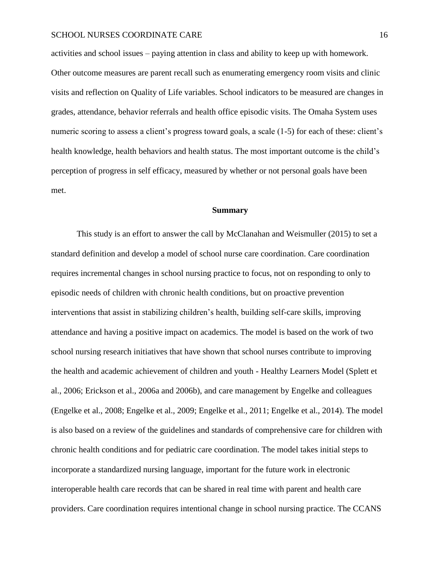activities and school issues – paying attention in class and ability to keep up with homework. Other outcome measures are parent recall such as enumerating emergency room visits and clinic visits and reflection on Quality of Life variables. School indicators to be measured are changes in grades, attendance, behavior referrals and health office episodic visits. The Omaha System uses numeric scoring to assess a client's progress toward goals, a scale  $(1-5)$  for each of these: client's health knowledge, health behaviors and health status. The most important outcome is the child's perception of progress in self efficacy, measured by whether or not personal goals have been met.

#### **Summary**

This study is an effort to answer the call by McClanahan and Weismuller (2015) to set a standard definition and develop a model of school nurse care coordination. Care coordination requires incremental changes in school nursing practice to focus, not on responding to only to episodic needs of children with chronic health conditions, but on proactive prevention interventions that assist in stabilizing children's health, building self-care skills, improving attendance and having a positive impact on academics. The model is based on the work of two school nursing research initiatives that have shown that school nurses contribute to improving the health and academic achievement of children and youth - Healthy Learners Model (Splett et al., 2006; Erickson et al., 2006a and 2006b), and care management by Engelke and colleagues (Engelke et al., 2008; Engelke et al., 2009; Engelke et al., 2011; Engelke et al., 2014). The model is also based on a review of the guidelines and standards of comprehensive care for children with chronic health conditions and for pediatric care coordination. The model takes initial steps to incorporate a standardized nursing language, important for the future work in electronic interoperable health care records that can be shared in real time with parent and health care providers. Care coordination requires intentional change in school nursing practice. The CCANS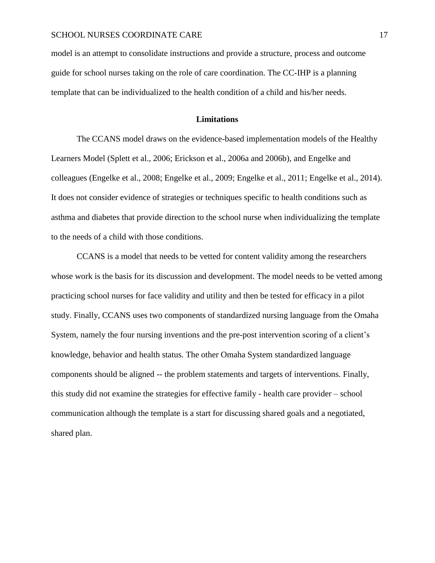model is an attempt to consolidate instructions and provide a structure, process and outcome guide for school nurses taking on the role of care coordination. The CC-IHP is a planning template that can be individualized to the health condition of a child and his/her needs.

#### **Limitations**

The CCANS model draws on the evidence-based implementation models of the Healthy Learners Model (Splett et al., 2006; Erickson et al., 2006a and 2006b), and Engelke and colleagues (Engelke et al., 2008; Engelke et al., 2009; Engelke et al., 2011; Engelke et al., 2014). It does not consider evidence of strategies or techniques specific to health conditions such as asthma and diabetes that provide direction to the school nurse when individualizing the template to the needs of a child with those conditions.

CCANS is a model that needs to be vetted for content validity among the researchers whose work is the basis for its discussion and development. The model needs to be vetted among practicing school nurses for face validity and utility and then be tested for efficacy in a pilot study. Finally, CCANS uses two components of standardized nursing language from the Omaha System, namely the four nursing inventions and the pre-post intervention scoring of a client's knowledge, behavior and health status. The other Omaha System standardized language components should be aligned -- the problem statements and targets of interventions. Finally, this study did not examine the strategies for effective family - health care provider – school communication although the template is a start for discussing shared goals and a negotiated, shared plan.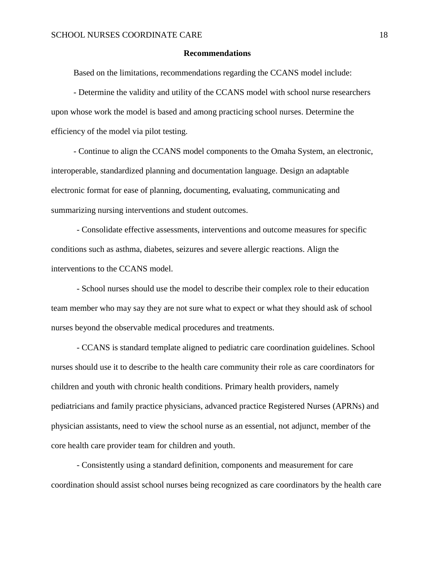#### **Recommendations**

Based on the limitations, recommendations regarding the CCANS model include:

- Determine the validity and utility of the CCANS model with school nurse researchers upon whose work the model is based and among practicing school nurses. Determine the efficiency of the model via pilot testing.

- Continue to align the CCANS model components to the Omaha System, an electronic, interoperable, standardized planning and documentation language. Design an adaptable electronic format for ease of planning, documenting, evaluating, communicating and summarizing nursing interventions and student outcomes.

- Consolidate effective assessments, interventions and outcome measures for specific conditions such as asthma, diabetes, seizures and severe allergic reactions. Align the interventions to the CCANS model.

- School nurses should use the model to describe their complex role to their education team member who may say they are not sure what to expect or what they should ask of school nurses beyond the observable medical procedures and treatments.

- CCANS is standard template aligned to pediatric care coordination guidelines. School nurses should use it to describe to the health care community their role as care coordinators for children and youth with chronic health conditions. Primary health providers, namely pediatricians and family practice physicians, advanced practice Registered Nurses (APRNs) and physician assistants, need to view the school nurse as an essential, not adjunct, member of the core health care provider team for children and youth.

- Consistently using a standard definition, components and measurement for care coordination should assist school nurses being recognized as care coordinators by the health care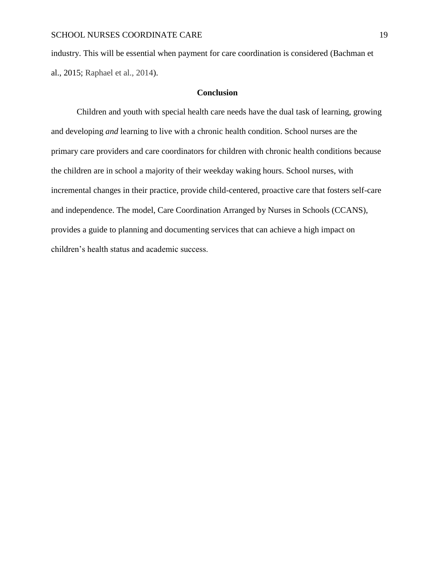industry. This will be essential when payment for care coordination is considered (Bachman et al., 2015; Raphael et al., 2014).

#### **Conclusion**

Children and youth with special health care needs have the dual task of learning, growing and developing *and* learning to live with a chronic health condition. School nurses are the primary care providers and care coordinators for children with chronic health conditions because the children are in school a majority of their weekday waking hours. School nurses, with incremental changes in their practice, provide child-centered, proactive care that fosters self-care and independence. The model, Care Coordination Arranged by Nurses in Schools (CCANS), provides a guide to planning and documenting services that can achieve a high impact on children's health status and academic success.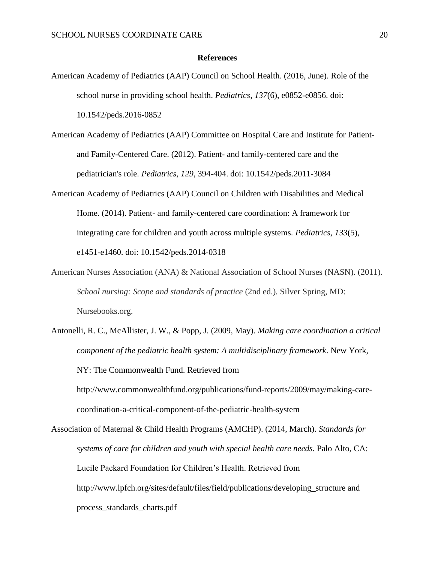#### **References**

- American Academy of Pediatrics (AAP) Council on School Health. (2016, June). Role of the school nurse in providing school health. *Pediatrics, 137*(6), e0852-e0856. doi: 10.1542/peds.2016-0852
- American Academy of Pediatrics (AAP) Committee on Hospital Care and Institute for Patientand Family-Centered Care. (2012). Patient- and family-centered care and the pediatrician's role. *Pediatrics, 129*, 394-404. doi: 10.1542/peds.2011-3084
- American Academy of Pediatrics (AAP) Council on Children with Disabilities and Medical Home. (2014). Patient- and family-centered care coordination: A framework for integrating care for children and youth across multiple systems. *Pediatrics, 133*(5), e1451-e1460. doi: 10.1542/peds.2014-0318
- American Nurses Association (ANA) & National Association of School Nurses (NASN). (2011). *School nursing: Scope and standards of practice* (2nd ed.)*.* Silver Spring, MD: Nursebooks.org.
- Antonelli, R. C., McAllister, J. W., & Popp, J. (2009, May). *Making care coordination a critical component of the pediatric health system: A multidisciplinary framework*. New York, NY: The Commonwealth Fund. Retrieved from http://www.commonwealthfund.org/publications/fund-reports/2009/may/making-carecoordination-a-critical-component-of-the-pediatric-health-system

Association of Maternal & Child Health Programs (AMCHP). (2014, March). *Standards for systems of care for children and youth with special health care needs.* Palo Alto, CA: Lucile Packard Foundation for Children's Health. Retrieved from http://www.lpfch.org/sites/default/files/field/publications/developing\_structure and process\_standards\_charts.pdf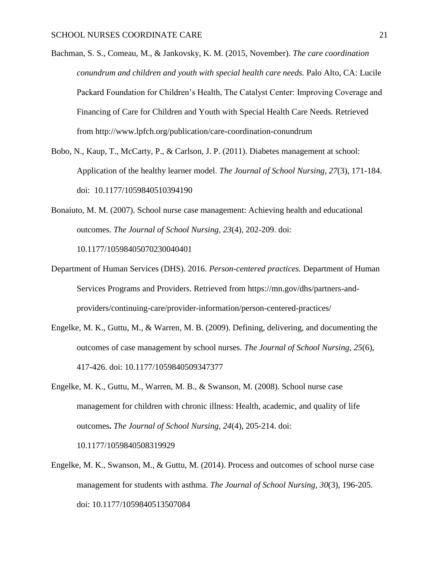- Bachman, S. S., Comeau, M., & Jankovsky, K. M. (2015, November). *The care coordination conundrum and children and youth with special health care needs.* Palo Alto, CA: Lucile Packard Foundation for Children's Health, The Catalyst Center: Improving Coverage and Financing of Care for Children and Youth with Special Health Care Needs. Retrieved from http://www.lpfch.org/publication/care-coordination-conundrum
- Bobo, N., Kaup, T., McCarty, P., & Carlson, J. P. (2011). Diabetes management at school: Application of the healthy learner model. *The Journal of School Nursing, 27*(3), 171-184. doi: 10.1177/1059840510394190
- Bonaiuto, M. M. (2007). School nurse case management: Achieving health and educational outcomes. *The Journal of School Nursing, 23*(4), 202-209. doi: 10.1177/10598405070230040401
- Department of Human Services (DHS). 2016. *Person-centered practices.* Department of Human Services Programs and Providers. Retrieved from https://mn.gov/dhs/partners-andproviders/continuing-care/provider-information/person-centered-practices/
- Engelke, M. K., Guttu, M., & Warren, M. B. (2009). Defining, delivering, and documenting the outcomes of case management by school nurses. *The Journal of School Nursing, 25*(6), 417-426. doi: 10.1177/1059840509347377
- Engelke, M. K., Guttu, M., Warren, M. B., & Swanson, M. (2008). School nurse case management for children with chronic illness: Health, academic, and quality of life outcomes**.** *The Journal of School Nursing, 24*(4), 205-214. doi: 10.1177/1059840508319929

Engelke, M. K., Swanson, M., & Guttu, M. (2014). Process and outcomes of school nurse case management for students with asthma. *The Journal of School Nursing*, *30*(3), 196-205. doi: 10.1177/1059840513507084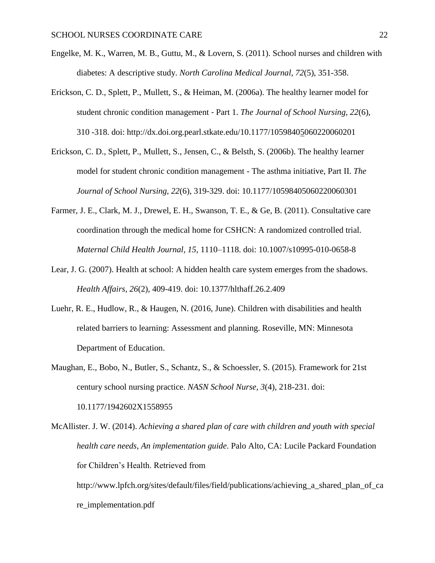- Engelke, M. K., Warren, M. B., Guttu, M., & Lovern, S. (2011). School nurses and children with diabetes: A descriptive study. *North Carolina Medical Journal, 72*(5), 351-358.
- Erickson, C. D., Splett, P., Mullett, S., & Heiman, M. (2006a). The healthy learner model for student chronic condition management ‐ Part 1. *The Journal of School Nursing, 22*(6), 310 -318. doi: http://dx.doi.org.pearl.stkate.edu/10.1177/10598405060220060201
- Erickson, C. D., Splett, P., Mullett, S., Jensen, C., & Belsth, S. (2006b). The healthy learner model for student chronic condition management - The asthma initiative, Part II. *The Journal of School Nursing, 22*(6), 319-329. doi: 10.1177/10598405060220060301
- Farmer, J. E., Clark, M. J., Drewel, E. H., Swanson, T. E., & Ge, B. (2011). Consultative care coordination through the medical home for CSHCN: A randomized controlled trial. *Maternal Child Health Journal, 15,* 1110–1118. doi: 10.1007/s10995-010-0658-8
- Lear, J. G. (2007). Health at school: A hidden health care system emerges from the shadows. *Health Affairs, 26*(2), 409-419. doi: 10.1377/hlthaff.26.2.409
- Luehr, R. E., Hudlow, R., & Haugen, N. (2016, June). Children with disabilities and health related barriers to learning: Assessment and planning. Roseville, MN: Minnesota Department of Education.
- Maughan, E., Bobo, N., Butler, S., Schantz, S., & Schoessler, S. (2015). Framework for 21st century school nursing practice. *NASN School Nurse, 3*(4), 218-231. doi: 10.1177/1942602X1558955

McAllister. J. W. (2014). *Achieving a shared plan of care with children and youth with special health care needs, An implementation guide*. Palo Alto, CA: Lucile Packard Foundation for Children's Health. Retrieved from

http://www.lpfch.org/sites/default/files/field/publications/achieving a shared plan of ca re\_implementation.pdf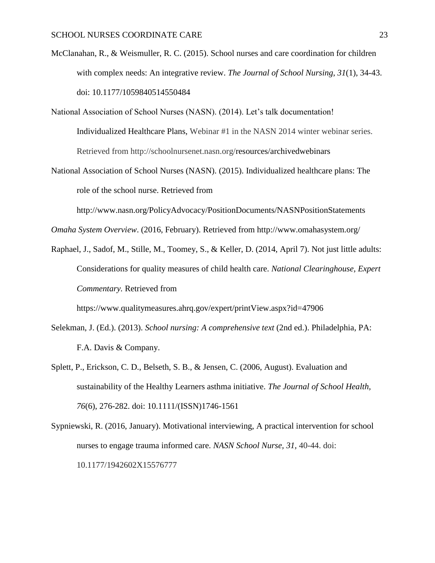- McClanahan, R., & Weismuller, R. C. (2015). School nurses and care coordination for children with complex needs: An integrative review. *The Journal of School Nursing*, *31*(1), 34-43. doi: 10.1177/1059840514550484
- National Association of School Nurses (NASN). (2014). Let's talk documentation! Individualized Healthcare Plans, Webinar #1 in the NASN 2014 winter webinar series. Retrieved from http://schoolnursenet.nasn.org/resources/archivedwebinars
- National Association of School Nurses (NASN). (2015). Individualized healthcare plans: The role of the school nurse. Retrieved from

http://www.nasn.org/PolicyAdvocacy/PositionDocuments/NASNPositionStatements

*Omaha System Overview*. (2016, February). Retrieved from http://www.omahasystem.org/

Raphael, J., Sadof, M., Stille, M., Toomey, S., & Keller, D. (2014, April 7). Not just little adults: Considerations for quality measures of child health care. *National Clearinghouse, Expert Commentary.* Retrieved from

https://www.qualitymeasures.ahrq.gov/expert/printView.aspx?id=47906

- Selekman, J. (Ed.). (2013). *School nursing: A comprehensive text* (2nd ed.). Philadelphia, PA: F.A. Davis & Company.
- Splett, P., Erickson, C. D., Belseth, S. B., & Jensen, C. (2006, August). Evaluation and sustainability of the Healthy Learners asthma initiative. *The Journal of School Health, 76*(6), 276-282. doi: 10.1111/(ISSN)1746-1561
- Sypniewski, R. (2016, January). Motivational interviewing, A practical intervention for school nurses to engage trauma informed care. *NASN School Nurse, 31,* 40-44. doi: 10.1177/1942602X15576777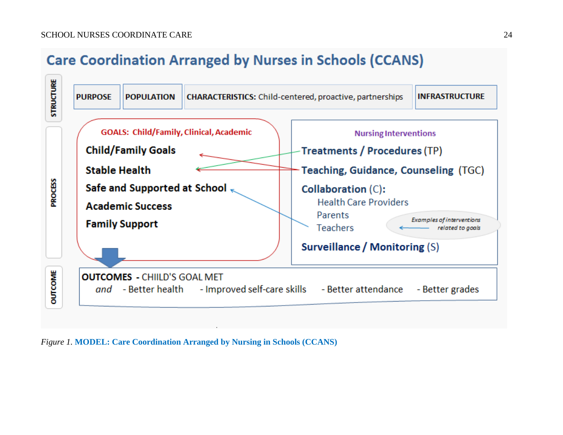# **Care Coordination Arranged by Nurses in Schools (CCANS)**



*Figure 1.* **MODEL: Care Coordination Arranged by Nursing in Schools (CCANS)**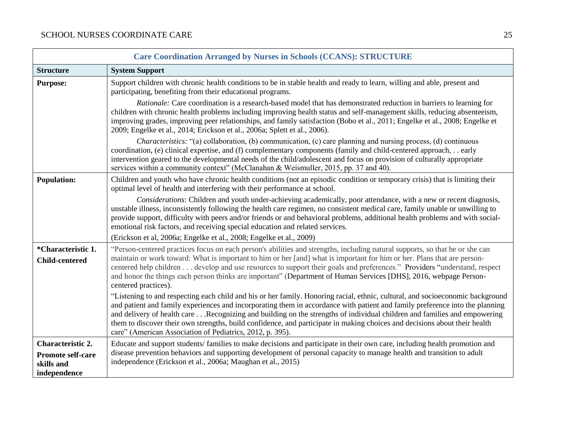| <b>Care Coordination Arranged by Nurses in Schools (CCANS): STRUCTURE</b>          |                                                                                                                                                                                                                                                                                                                                                                                                                                                                                                                                                                                      |  |
|------------------------------------------------------------------------------------|--------------------------------------------------------------------------------------------------------------------------------------------------------------------------------------------------------------------------------------------------------------------------------------------------------------------------------------------------------------------------------------------------------------------------------------------------------------------------------------------------------------------------------------------------------------------------------------|--|
| <b>Structure</b>                                                                   | <b>System Support</b>                                                                                                                                                                                                                                                                                                                                                                                                                                                                                                                                                                |  |
| <b>Purpose:</b>                                                                    | Support children with chronic health conditions to be in stable health and ready to learn, willing and able, present and<br>participating, benefiting from their educational programs.                                                                                                                                                                                                                                                                                                                                                                                               |  |
|                                                                                    | Rationale: Care coordination is a research-based model that has demonstrated reduction in barriers to learning for<br>children with chronic health problems including improving health status and self-management skills, reducing absenteeism,<br>improving grades, improving peer relationships, and family satisfaction (Bobo et al., 2011; Engelke et al., 2008; Engelke et<br>2009; Engelke et al., 2014; Erickson et al., 2006a; Splett et al., 2006).                                                                                                                         |  |
|                                                                                    | <i>Characteristics:</i> "(a) collaboration, (b) communication, (c) care planning and nursing process, (d) continuous<br>coordination, (e) clinical expertise, and (f) complementary components (family and child-centered approach, early<br>intervention geared to the developmental needs of the child/adolescent and focus on provision of culturally appropriate<br>services within a community context" (McClanahan & Weismuller, 2015, pp. 37 and 40).                                                                                                                         |  |
| <b>Population:</b>                                                                 | Children and youth who have chronic health conditions (not an episodic condition or temporary crisis) that is limiting their<br>optimal level of health and interfering with their performance at school.                                                                                                                                                                                                                                                                                                                                                                            |  |
|                                                                                    | Considerations: Children and youth under-achieving academically, poor attendance, with a new or recent diagnosis,<br>unstable illness, inconsistently following the health care regimen, no consistent medical care, family unable or unwilling to<br>provide support, difficulty with peers and/or friends or and behavioral problems, additional health problems and with social-<br>emotional risk factors, and receiving special education and related services.                                                                                                                 |  |
|                                                                                    | (Erickson et al, 2006a; Engelke et al., 2008; Engelke et al., 2009)                                                                                                                                                                                                                                                                                                                                                                                                                                                                                                                  |  |
| *Characteristic 1.<br><b>Child-centered</b>                                        | "Person-centered practices focus on each person's abilities and strengths, including natural supports, so that he or she can<br>maintain or work toward: What is important to him or her [and] what is important for him or her. Plans that are person-<br>centered help children develop and use resources to support their goals and preferences." Providers "understand, respect<br>and honor the things each person thinks are important" (Department of Human Services [DHS], 2016, webpage Person-<br>centered practices).                                                     |  |
|                                                                                    | "Listening to and respecting each child and his or her family. Honoring racial, ethnic, cultural, and socioeconomic background<br>and patient and family experiences and incorporating them in accordance with patient and family preference into the planning<br>and delivery of health careRecognizing and building on the strengths of individual children and families and empowering<br>them to discover their own strengths, build confidence, and participate in making choices and decisions about their health<br>care" (American Association of Pediatrics, 2012, p. 395). |  |
| <b>Characteristic 2.</b><br><b>Promote self-care</b><br>skills and<br>independence | Educate and support students/families to make decisions and participate in their own care, including health promotion and<br>disease prevention behaviors and supporting development of personal capacity to manage health and transition to adult<br>independence (Erickson et al., 2006a; Maughan et al., 2015)                                                                                                                                                                                                                                                                    |  |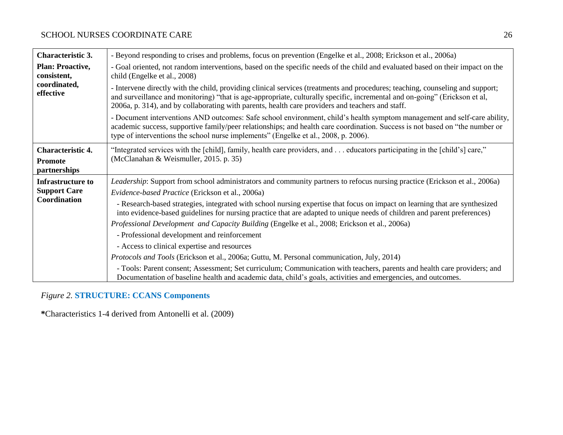| <b>Characteristic 3.</b>               | - Beyond responding to crises and problems, focus on prevention (Engelke et al., 2008; Erickson et al., 2006a)                                                                                                                                                                                                                                                   |  |  |
|----------------------------------------|------------------------------------------------------------------------------------------------------------------------------------------------------------------------------------------------------------------------------------------------------------------------------------------------------------------------------------------------------------------|--|--|
| <b>Plan: Proactive,</b><br>consistent, | - Goal oriented, not random interventions, based on the specific needs of the child and evaluated based on their impact on the<br>child (Engelke et al., 2008)                                                                                                                                                                                                   |  |  |
| coordinated,<br>effective              | - Intervene directly with the child, providing clinical services (treatments and procedures; teaching, counseling and support;<br>and surveillance and monitoring) "that is age-appropriate, culturally specific, incremental and on-going" (Erickson et al,<br>2006a, p. 314), and by collaborating with parents, health care providers and teachers and staff. |  |  |
|                                        | - Document interventions AND outcomes: Safe school environment, child's health symptom management and self-care ability,<br>academic success, supportive family/peer relationships; and health care coordination. Success is not based on "the number or<br>type of interventions the school nurse implements" (Engelke et al., 2008, p. 2006).                  |  |  |
| <b>Characteristic 4.</b>               | "Integrated services with the [child], family, health care providers, and  educators participating in the [child's] care,"                                                                                                                                                                                                                                       |  |  |
| <b>Promote</b><br>partnerships         | (McClanahan & Weismuller, 2015. p. 35)                                                                                                                                                                                                                                                                                                                           |  |  |
| <b>Infrastructure to</b>               | Leadership: Support from school administrators and community partners to refocus nursing practice (Erickson et al., 2006a)                                                                                                                                                                                                                                       |  |  |
| <b>Support Care</b>                    | Evidence-based Practice (Erickson et al., 2006a)                                                                                                                                                                                                                                                                                                                 |  |  |
| Coordination                           | - Research-based strategies, integrated with school nursing expertise that focus on impact on learning that are synthesized<br>into evidence-based guidelines for nursing practice that are adapted to unique needs of children and parent preferences)                                                                                                          |  |  |
|                                        | Professional Development and Capacity Building (Engelke et al., 2008; Erickson et al., 2006a)                                                                                                                                                                                                                                                                    |  |  |
|                                        | - Professional development and reinforcement                                                                                                                                                                                                                                                                                                                     |  |  |
|                                        | - Access to clinical expertise and resources                                                                                                                                                                                                                                                                                                                     |  |  |
|                                        | Protocols and Tools (Erickson et al., 2006a; Guttu, M. Personal communication, July, 2014)                                                                                                                                                                                                                                                                       |  |  |
|                                        | - Tools: Parent consent; Assessment; Set curriculum; Communication with teachers, parents and health care providers; and<br>Documentation of baseline health and academic data, child's goals, activities and emergencies, and outcomes.                                                                                                                         |  |  |

# *Figure 2.* **STRUCTURE: CCANS Components**

**\***Characteristics 1-4 derived from Antonelli et al. (2009)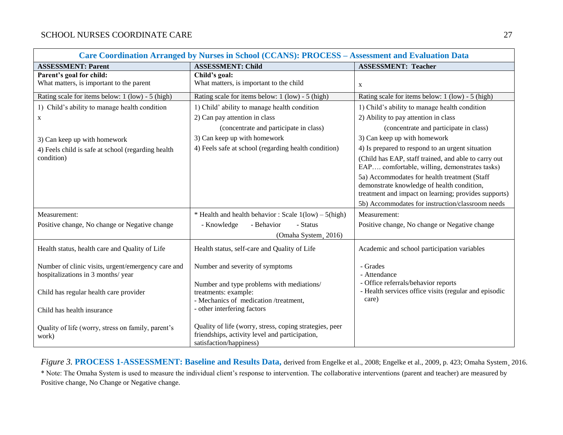| Care Coordination Arranged by Nurses in School (CCANS): PROCESS - Assessment and Evaluation Data |                                                                                                                                      |                                                                                                                                                    |
|--------------------------------------------------------------------------------------------------|--------------------------------------------------------------------------------------------------------------------------------------|----------------------------------------------------------------------------------------------------------------------------------------------------|
| <b>ASSESSMENT: Parent</b>                                                                        | <b>ASSESSMENT: Child</b>                                                                                                             | <b>ASSESSMENT: Teacher</b>                                                                                                                         |
| Parent's goal for child:<br>What matters, is important to the parent                             | Child's goal:<br>What matters, is important to the child                                                                             | $\mathbf{X}$                                                                                                                                       |
| Rating scale for items below: 1 (low) - 5 (high)                                                 | Rating scale for items below: 1 (low) - 5 (high)                                                                                     | Rating scale for items below: 1 (low) - 5 (high)                                                                                                   |
| 1) Child's ability to manage health condition                                                    | 1) Child' ability to manage health condition                                                                                         | 1) Child's ability to manage health condition                                                                                                      |
| X                                                                                                | 2) Can pay attention in class                                                                                                        | 2) Ability to pay attention in class                                                                                                               |
|                                                                                                  | (concentrate and participate in class)                                                                                               | (concentrate and participate in class)                                                                                                             |
| 3) Can keep up with homework                                                                     | 3) Can keep up with homework                                                                                                         | 3) Can keep up with homework                                                                                                                       |
| 4) Feels child is safe at school (regarding health                                               | 4) Feels safe at school (regarding health condition)                                                                                 | 4) Is prepared to respond to an urgent situation                                                                                                   |
| condition)                                                                                       |                                                                                                                                      | (Child has EAP, staff trained, and able to carry out<br>EAP comfortable, willing, demonstrates tasks)                                              |
|                                                                                                  |                                                                                                                                      | 5a) Accommodates for health treatment (Staff<br>demonstrate knowledge of health condition,<br>treatment and impact on learning; provides supports) |
|                                                                                                  |                                                                                                                                      | 5b) Accommodates for instruction/classroom needs                                                                                                   |
| Measurement:                                                                                     | * Health and health behavior : Scale $1(low) - 5(high)$                                                                              | Measurement:                                                                                                                                       |
| Positive change, No change or Negative change                                                    | - Behavior<br>- Knowledge<br>- Status                                                                                                | Positive change, No change or Negative change                                                                                                      |
|                                                                                                  | (Omaha System, 2016)                                                                                                                 |                                                                                                                                                    |
| Health status, health care and Quality of Life                                                   | Health status, self-care and Quality of Life                                                                                         | Academic and school participation variables                                                                                                        |
| Number of clinic visits, urgent/emergency care and<br>hospitalizations in 3 months/ year         | Number and severity of symptoms                                                                                                      | - Grades<br>- Attendance                                                                                                                           |
| Child has regular health care provider                                                           | Number and type problems with mediations/<br>treatments: example:<br>- Mechanics of medication /treatment,                           | - Office referrals/behavior reports<br>- Health services office visits (regular and episodic<br>care)                                              |
| Child has health insurance                                                                       | - other interfering factors                                                                                                          |                                                                                                                                                    |
| Quality of life (worry, stress on family, parent's<br>work)                                      | Quality of life (worry, stress, coping strategies, peer<br>friendships, activity level and participation,<br>satisfaction/happiness) |                                                                                                                                                    |

*Figure 3.* **PROCESS 1-ASSESSMENT: Baseline and Results Data,** derived from Engelke et al., 2008; Engelke et al., 2009, p. 423; Omaha System¸ 2016. \* Note: The Omaha System is used to measure the individual client's response to intervention. The collaborative interventions (parent and teacher) are measured by Positive change, No Change or Negative change.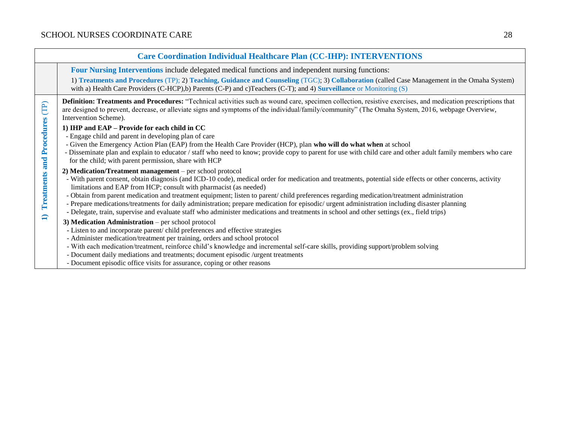| <b>Care Coordination Individual Healthcare Plan (CC-IHP): INTERVENTIONS</b> |                                                                                                                                                                                                                                                                                                                                                                                                                                                                                                                                                                                                                                                                                                                                        |  |
|-----------------------------------------------------------------------------|----------------------------------------------------------------------------------------------------------------------------------------------------------------------------------------------------------------------------------------------------------------------------------------------------------------------------------------------------------------------------------------------------------------------------------------------------------------------------------------------------------------------------------------------------------------------------------------------------------------------------------------------------------------------------------------------------------------------------------------|--|
|                                                                             | Four Nursing Interventions include delegated medical functions and independent nursing functions:<br>1) Treatments and Procedures (TP); 2) Teaching, Guidance and Counseling (TGC); 3) Collaboration (called Case Management in the Omaha System)<br>with a) Health Care Providers (C-HCP), b) Parents (C-P) and c) Teachers (C-T); and 4) Surveillance or Monitoring $(S)$                                                                                                                                                                                                                                                                                                                                                            |  |
| Treatments and Procedures (TP)<br>$\Box$                                    | <b>Definition: Treatments and Procedures:</b> "Technical activities such as wound care, specimen collection, resistive exercises, and medication prescriptions that<br>are designed to prevent, decrease, or alleviate signs and symptoms of the individual/family/community" (The Omaha System, 2016, webpage Overview,<br>Intervention Scheme).                                                                                                                                                                                                                                                                                                                                                                                      |  |
|                                                                             | 1) IHP and EAP - Provide for each child in CC<br>- Engage child and parent in developing plan of care<br>- Given the Emergency Action Plan (EAP) from the Health Care Provider (HCP), plan who will do what when at school<br>- Disseminate plan and explain to educator / staff who need to know; provide copy to parent for use with child care and other adult family members who care<br>for the child; with parent permission, share with HCP                                                                                                                                                                                                                                                                                     |  |
|                                                                             | 2) Medication/Treatment management – per school protocol<br>- With parent consent, obtain diagnosis (and ICD-10 code), medical order for medication and treatments, potential side effects or other concerns, activity<br>limitations and EAP from HCP; consult with pharmacist (as needed)<br>- Obtain from parent medication and treatment equipment; listen to parent/child preferences regarding medication/treatment administration<br>- Prepare medications/treatments for daily administration; prepare medication for episodic/ urgent administration including disaster planning<br>- Delegate, train, supervise and evaluate staff who administer medications and treatments in school and other settings (ex., field trips) |  |
|                                                                             | 3) Medication Administration - per school protocol<br>- Listen to and incorporate parent/child preferences and effective strategies<br>- Administer medication/treatment per training, orders and school protocol<br>- With each medication/treatment, reinforce child's knowledge and incremental self-care skills, providing support/problem solving<br>- Document daily mediations and treatments; document episodic /urgent treatments<br>- Document episodic office visits for assurance, coping or other reasons                                                                                                                                                                                                                 |  |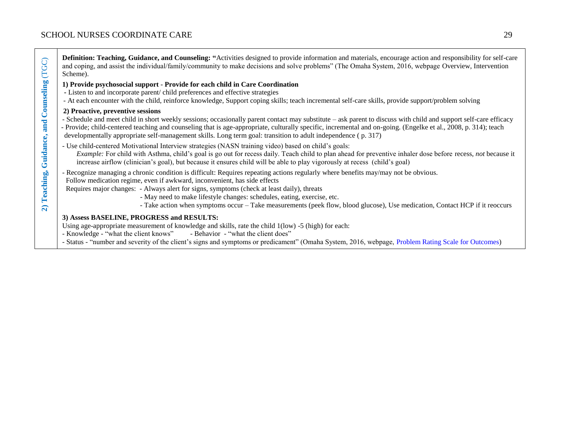┬

| Guidance, and Counseling (TGC)      | Definition: Teaching, Guidance, and Counseling: "Activities designed to provide information and materials, encourage action and responsibility for self-care<br>and coping, and assist the individual/family/community to make decisions and solve problems" (The Omaha System, 2016, webpage Overview, Intervention<br>Scheme).                                                                                                                                                                                         |
|-------------------------------------|--------------------------------------------------------------------------------------------------------------------------------------------------------------------------------------------------------------------------------------------------------------------------------------------------------------------------------------------------------------------------------------------------------------------------------------------------------------------------------------------------------------------------|
|                                     | 1) Provide psychosocial support - Provide for each child in Care Coordination<br>- Listen to and incorporate parent/child preferences and effective strategies<br>- At each encounter with the child, reinforce knowledge, Support coping skills; teach incremental self-care skills, provide support/problem solving                                                                                                                                                                                                    |
|                                     | 2) Proactive, preventive sessions<br>- Schedule and meet child in short weekly sessions; occasionally parent contact may substitute – ask parent to discuss with child and support self-care efficacy<br>- Provide; child-centered teaching and counseling that is age-appropriate, culturally specific, incremental and on-going. (Engelke et al., 2008, p. 314); teach<br>developmentally appropriate self-management skills. Long term goal: transition to adult independence (p. 317)                                |
|                                     | - Use child-centered Motivational Interview strategies (NASN training video) based on child's goals:<br>Example: For child with Asthma, child's goal is go out for recess daily. Teach child to plan ahead for preventive inhaler dose before recess, not because it<br>increase airflow (clinician's goal), but because it ensures child will be able to play vigorously at recess (child's goal)                                                                                                                       |
| Teaching,<br>$\widehat{\mathbf{a}}$ | - Recognize managing a chronic condition is difficult: Requires repeating actions regularly where benefits may/may not be obvious.<br>Follow medication regime, even if awkward, inconvenient, has side effects<br>Requires major changes: - Always alert for signs, symptoms (check at least daily), threats<br>- May need to make lifestyle changes: schedules, eating, exercise, etc.<br>- Take action when symptoms occur – Take measurements (peek flow, blood glucose), Use medication, Contact HCP if it reoccurs |
|                                     | 3) Assess BASELINE, PROGRESS and RESULTS:<br>Using age-appropriate measurement of knowledge and skills, rate the child 1(low) -5 (high) for each:<br>- Knowledge - "what the client knows" - Behavior - "what the client does"<br>- Status - "number and severity of the client's signs and symptoms or predicament" (Omaha System, 2016, webpage, Problem Rating Scale for Outcomes)                                                                                                                                    |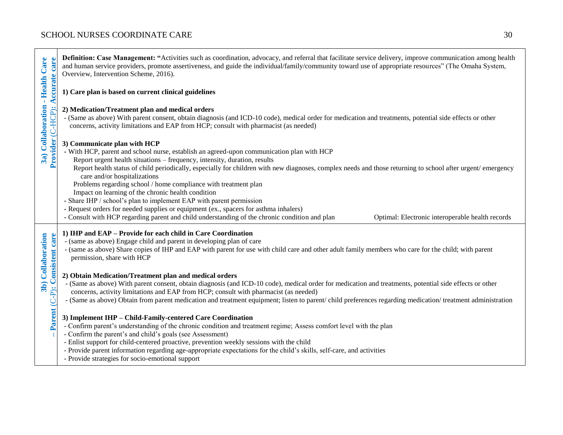|                                                                              | Definition: Case Management: "Activities such as coordination, advocacy, and referral that facilitate service delivery, improve communication among health<br>and human service providers, promote assertiveness, and guide the individual/family/community toward use of appropriate resources" (The Omaha System,<br>Overview, Intervention Scheme, 2016).                                                                                                                                                                                                                                                                                                                                                                                                                                                                                       |  |  |
|------------------------------------------------------------------------------|----------------------------------------------------------------------------------------------------------------------------------------------------------------------------------------------------------------------------------------------------------------------------------------------------------------------------------------------------------------------------------------------------------------------------------------------------------------------------------------------------------------------------------------------------------------------------------------------------------------------------------------------------------------------------------------------------------------------------------------------------------------------------------------------------------------------------------------------------|--|--|
| 3a) Collaboration - Health Care<br><b>Accurate care</b><br>Provider (C-HCP): | 1) Care plan is based on current clinical guidelines                                                                                                                                                                                                                                                                                                                                                                                                                                                                                                                                                                                                                                                                                                                                                                                               |  |  |
|                                                                              | 2) Medication/Treatment plan and medical orders<br>- (Same as above) With parent consent, obtain diagnosis (and ICD-10 code), medical order for medication and treatments, potential side effects or other<br>concerns, activity limitations and EAP from HCP; consult with pharmacist (as needed)                                                                                                                                                                                                                                                                                                                                                                                                                                                                                                                                                 |  |  |
|                                                                              | 3) Communicate plan with HCP<br>- With HCP, parent and school nurse, establish an agreed-upon communication plan with HCP<br>Report urgent health situations - frequency, intensity, duration, results<br>Report health status of child periodically, especially for children with new diagnoses, complex needs and those returning to school after urgent/ emergency<br>care and/or hospitalizations<br>Problems regarding school / home compliance with treatment plan<br>Impact on learning of the chronic health condition<br>- Share IHP / school's plan to implement EAP with parent permission<br>- Request orders for needed supplies or equipment (ex., spacers for asthma inhalers)<br>- Consult with HCP regarding parent and child understanding of the chronic condition and plan<br>Optimal: Electronic interoperable health records |  |  |
| 3b) Collaboration<br>Parent (C-P): Consistent care                           | 1) IHP and EAP - Provide for each child in Care Coordination<br>- (same as above) Engage child and parent in developing plan of care<br>- (same as above) Share copies of IHP and EAP with parent for use with child care and other adult family members who care for the child; with parent<br>permission, share with HCP                                                                                                                                                                                                                                                                                                                                                                                                                                                                                                                         |  |  |
|                                                                              | 2) Obtain Medication/Treatment plan and medical orders<br>- (Same as above) With parent consent, obtain diagnosis (and ICD-10 code), medical order for medication and treatments, potential side effects or other<br>concerns, activity limitations and EAP from HCP; consult with pharmacist (as needed)<br>- (Same as above) Obtain from parent medication and treatment equipment; listen to parent/child preferences regarding medication/treatment administration                                                                                                                                                                                                                                                                                                                                                                             |  |  |
|                                                                              | 3) Implement IHP - Child-Family-centered Care Coordination<br>- Confirm parent's understanding of the chronic condition and treatment regime; Assess comfort level with the plan<br>- Confirm the parent's and child's goals (see Assessment)<br>- Enlist support for child-centered proactive, prevention weekly sessions with the child<br>- Provide parent information regarding age-appropriate expectations for the child's skills, self-care, and activities<br>- Provide strategies for socio-emotional support                                                                                                                                                                                                                                                                                                                             |  |  |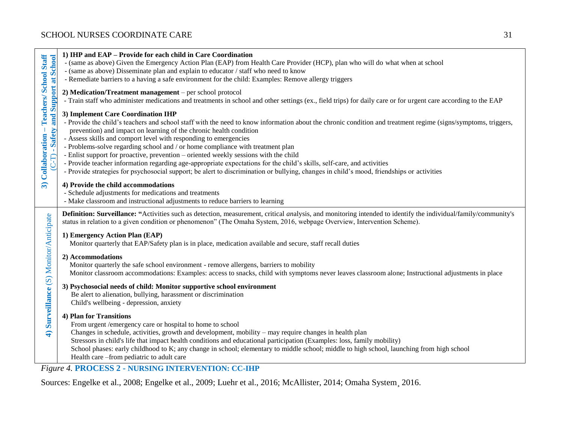| - Teachers/ School Staff<br>and Support at School<br>- Safety<br>3) Collaboration<br>م<br>ا | 1) IHP and EAP - Provide for each child in Care Coordination<br>- (same as above) Given the Emergency Action Plan (EAP) from Health Care Provider (HCP), plan who will do what when at school<br>- (same as above) Disseminate plan and explain to educator / staff who need to know<br>- Remediate barriers to a having a safe environment for the child: Examples: Remove allergy triggers                                                                                                                                                                                                                                                                                                                                                                                                   |
|---------------------------------------------------------------------------------------------|------------------------------------------------------------------------------------------------------------------------------------------------------------------------------------------------------------------------------------------------------------------------------------------------------------------------------------------------------------------------------------------------------------------------------------------------------------------------------------------------------------------------------------------------------------------------------------------------------------------------------------------------------------------------------------------------------------------------------------------------------------------------------------------------|
|                                                                                             | 2) Medication/Treatment management - per school protocol<br>- Train staff who administer medications and treatments in school and other settings (ex., field trips) for daily care or for urgent care according to the EAP                                                                                                                                                                                                                                                                                                                                                                                                                                                                                                                                                                     |
|                                                                                             | 3) Implement Care Coordination IHP<br>- Provide the child's teachers and school staff with the need to know information about the chronic condition and treatment regime (signs/symptoms, triggers,<br>prevention) and impact on learning of the chronic health condition<br>- Assess skills and comport level with responding to emergencies<br>- Problems-solve regarding school and / or home compliance with treatment plan<br>- Enlist support for proactive, prevention – oriented weekly sessions with the child<br>- Provide teacher information regarding age-appropriate expectations for the child's skills, self-care, and activities<br>- Provide strategies for psychosocial support; be alert to discrimination or bullying, changes in child's mood, friendships or activities |
|                                                                                             | 4) Provide the child accommodations<br>- Schedule adjustments for medications and treatments<br>- Make classroom and instructional adjustments to reduce barriers to learning                                                                                                                                                                                                                                                                                                                                                                                                                                                                                                                                                                                                                  |
| Surveillance (S) Monitor/Anticipate<br>$\widehat{\mathbf{f}}$                               | Definition: Surveillance: "Activities such as detection, measurement, critical analysis, and monitoring intended to identify the individual/family/community's<br>status in relation to a given condition or phenomenon" (The Omaha System, 2016, webpage Overview, Intervention Scheme).                                                                                                                                                                                                                                                                                                                                                                                                                                                                                                      |
|                                                                                             | 1) Emergency Action Plan (EAP)<br>Monitor quarterly that EAP/Safety plan is in place, medication available and secure, staff recall duties                                                                                                                                                                                                                                                                                                                                                                                                                                                                                                                                                                                                                                                     |
|                                                                                             | 2) Accommodations<br>Monitor quarterly the safe school environment - remove allergens, barriers to mobility<br>Monitor classroom accommodations: Examples: access to snacks, child with symptoms never leaves classroom alone; Instructional adjustments in place                                                                                                                                                                                                                                                                                                                                                                                                                                                                                                                              |
|                                                                                             | 3) Psychosocial needs of child: Monitor supportive school environment<br>Be alert to alienation, bullying, harassment or discrimination<br>Child's wellbeing - depression, anxiety                                                                                                                                                                                                                                                                                                                                                                                                                                                                                                                                                                                                             |
|                                                                                             | 4) Plan for Transitions<br>From urgent /emergency care or hospital to home to school<br>Changes in schedule, activities, growth and development, mobility – may require changes in health plan<br>Stressors in child's life that impact health conditions and educational participation (Examples: loss, family mobility)<br>School phases: early childhood to K; any change in school; elementary to middle school; middle to high school, launching from high school<br>Health care -from pediatric to adult care                                                                                                                                                                                                                                                                            |
|                                                                                             | <b>Figure 4. PROCESS 2 - NURSING INTERVENTION: CC-IHP</b>                                                                                                                                                                                                                                                                                                                                                                                                                                                                                                                                                                                                                                                                                                                                      |

Sources: Engelke et al., 2008; Engelke et al., 2009; Luehr et al., 2016; McAllister, 2014; Omaha System¸ 2016.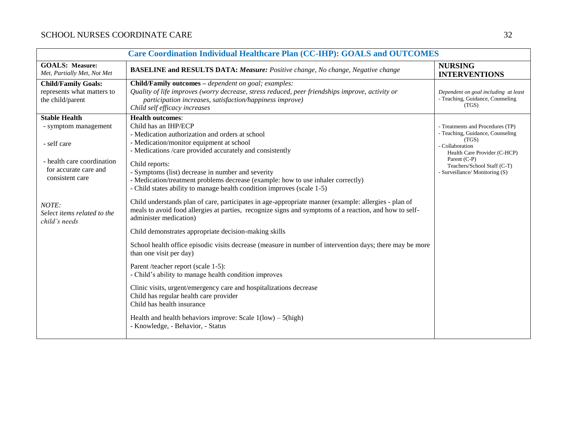| Care Coordination Individual Healthcare Plan (CC-IHP): GOALS and OUTCOMES                                                             |                                                                                                                                                                                                                                                                                                                                                                                                                                                 |                                                                                                                                                                                                                   |
|---------------------------------------------------------------------------------------------------------------------------------------|-------------------------------------------------------------------------------------------------------------------------------------------------------------------------------------------------------------------------------------------------------------------------------------------------------------------------------------------------------------------------------------------------------------------------------------------------|-------------------------------------------------------------------------------------------------------------------------------------------------------------------------------------------------------------------|
| <b>GOALS: Measure:</b><br>Met, Partially Met, Not Met                                                                                 | <b>BASELINE and RESULTS DATA: Measure:</b> Positive change, No change, Negative change                                                                                                                                                                                                                                                                                                                                                          | <b>NURSING</b><br><b>INTERVENTIONS</b>                                                                                                                                                                            |
| <b>Child/Family Goals:</b><br>represents what matters to<br>the child/parent                                                          | Child/Family outcomes - dependent on goal; examples:<br>Quality of life improves (worry decrease, stress reduced, peer friendships improve, activity or<br>participation increases, satisfaction/happiness improve)<br>Child self efficacy increases                                                                                                                                                                                            | Dependent on goal including at least<br>- Teaching, Guidance, Counseling<br>(TGS)                                                                                                                                 |
| <b>Stable Health</b><br>- symptom management<br>- self care<br>- health care coordination<br>for accurate care and<br>consistent care | <b>Health outcomes:</b><br>Child has an IHP/ECP<br>- Medication authorization and orders at school<br>- Medication/monitor equipment at school<br>- Medications /care provided accurately and consistently<br>Child reports:<br>- Symptoms (list) decrease in number and severity<br>- Medication/treatment problems decrease (example: how to use inhaler correctly)<br>- Child states ability to manage health condition improves (scale 1-5) | - Treatments and Procedures (TP)<br>- Teaching, Guidance, Counseling<br>(TGS)<br>- Collaboration<br>Health Care Provider (C-HCP)<br>Parent (C-P)<br>Teachers/School Staff (C-T)<br>- Surveillance/ Monitoring (S) |
| NOTE:<br>Select items related to the<br>child's needs                                                                                 | Child understands plan of care, participates in age-appropriate manner (example: allergies - plan of<br>meals to avoid food allergies at parties, recognize signs and symptoms of a reaction, and how to self-<br>administer medication)<br>Child demonstrates appropriate decision-making skills<br>School health office episodic visits decrease (measure in number of intervention days; there may be more<br>than one visit per day)        |                                                                                                                                                                                                                   |
|                                                                                                                                       | Parent /teacher report (scale 1-5):<br>- Child's ability to manage health condition improves<br>Clinic visits, urgent/emergency care and hospitalizations decrease<br>Child has regular health care provider<br>Child has health insurance<br>Health and health behaviors improve: Scale $1(\text{low}) - 5(\text{high})$<br>- Knowledge, - Behavior, - Status                                                                                  |                                                                                                                                                                                                                   |